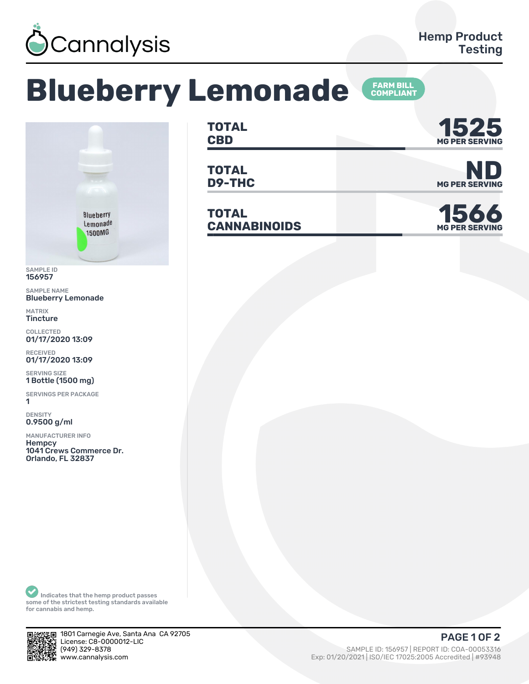

## **Blueberry Lemonade**





SAMPLE ID 156957

SAMPLE NAME Blueberry Lemonade

MATRIX **Tincture** 

COLLECTED 01/17/2020 13:09

RECEIVED 01/17/2020 13:09

SERVING SIZE 1 Bottle (1500 mg)

SERVINGS PER PACKAGE ǽ

DENSITY 0.9500 g/ml

MANUFACTURER INFO **Hempcy** 1041 Crews Commerce Dr.

Orlando, FL 32837

**TOTAL CBD MG PER SERVING 1525**

**TOTAL D9-THC** MG PER SERVING

**TOTAL CANNABINOIDS** 





Indicates that the hemp product passes some of the strictest testing standards available for cannabis and hemp.



1801 Carnegie Ave, Santa Ana CA 92705 License: C8-0000012-LIC<br>(949) 329-8378 (ȅȀȅ) ǿǾȅ-ȄǿȃȄ SAMPLE ID: ǽȁȂȅȁȃ | REPORT ID: COA-ǼǼǼȁǿǿǽȂ

## Exp: 01/20/2021 | ISO/IEC 17025:2005 Accredited | #93948 **PAGE 1 OF 2**